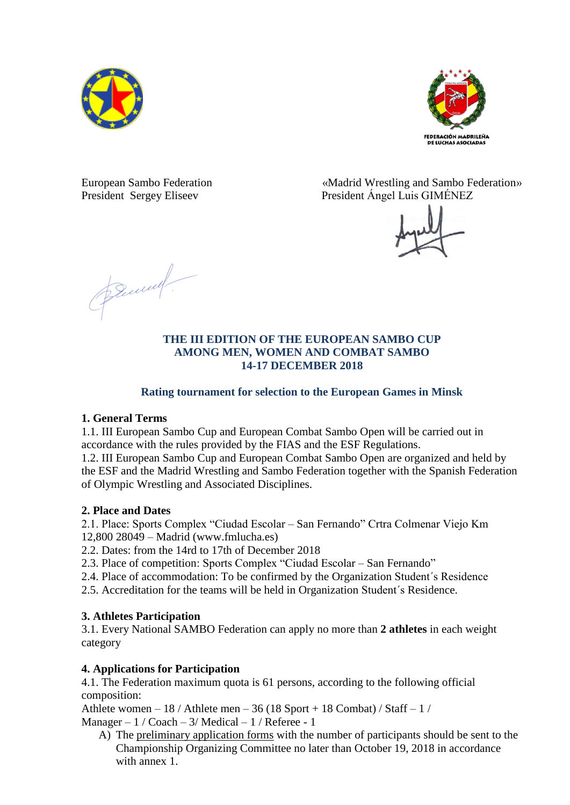



European Sambo Federation «Madrid Wrestling and Sambo Federation» President Sergey Eliseev President Ángel Luis GIMÉNEZ



Bennett.

#### **THE III EDITION OF THE EUROPEAN SAMBO CUP AMONG MEN, WOMEN AND COMBAT SAMBO 14-17 DECEMBER 2018**

# **Rating tournament for selection to the European Games in Minsk**

# **1. General Terms**

1.1. III European Sambo Cup and European Combat Sambo Open will be carried out in accordance with the rules provided by the FIAS and the ESF Regulations.

1.2. III European Sambo Cup and European Combat Sambo Open are organized and held by the ESF and the Madrid Wrestling and Sambo Federation together with the Spanish Federation of Olympic Wrestling and Associated Disciplines.

# **2. Place and Dates**

2.1. Place: Sports Complex "Ciudad Escolar – San Fernando" Crtra Colmenar Viejo Km 12,800 28049 – Madrid (www.fmlucha.es)

2.2. Dates: from the 14rd to 17th of December 2018

- 2.3. Place of competition: Sports Complex "Ciudad Escolar San Fernando"
- 2.4. Place of accommodation: To be confirmed by the Organization Student´s Residence
- 2.5. Accreditation for the teams will be held in Organization Student´s Residence.

# **3. Athletes Participation**

3.1. Every National SAMBO Federation can apply no more than **2 athletes** in each weight category

# **4. Applications for Participation**

4.1. The Federation maximum quota is 61 persons, according to the following official composition:

Athlete women – 18 / Athlete men – 36 (18 Sport + 18 Combat) / Staff – 1 / Manager –  $1 / \text{Coach} - 3 / \text{Medical} - 1 / \text{Reference} - 1$ 

A) The preliminary application forms with the number of participants should be sent to the Championship Organizing Committee no later than October 19, 2018 in accordance with annex 1.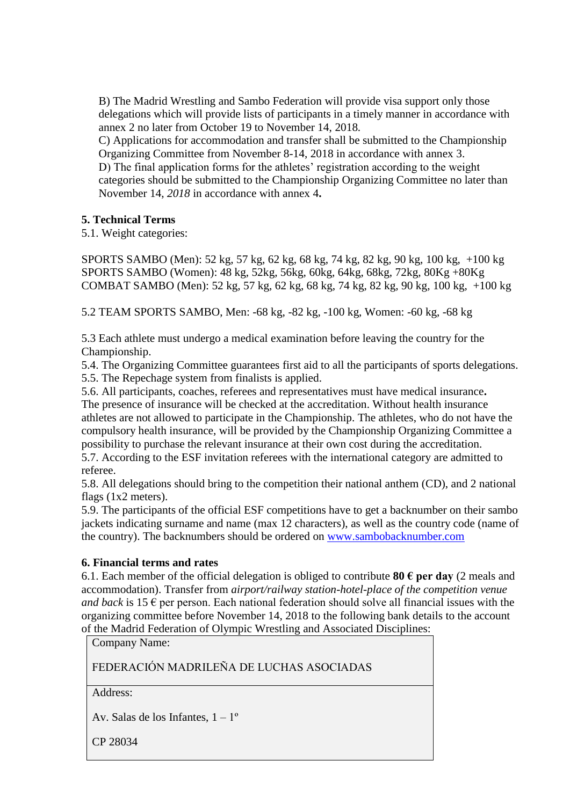B) The Madrid Wrestling and Sambo Federation will provide visa support only those delegations which will provide lists of participants in a timely manner in accordance with annex 2 no later from October 19 to November 14, 2018*.*

C) Applications for accommodation and transfer shall be submitted to the Championship Organizing Committee from November 8-14, 2018 in accordance with annex 3. D) The final application forms for the athletes' registration according to the weight categories should be submitted to the Championship Organizing Committee no later than November 14, *2018* in accordance with annex 4**.**

#### **5. Technical Terms**

5.1. Weight categories:

SPORTS SAMBO (Men): 52 kg, 57 kg, 62 kg, 68 kg, 74 kg, 82 kg, 90 kg, 100 kg, +100 kg SPORTS SAMBO (Women): 48 kg, 52kg, 56kg, 60kg, 64kg, 68kg, 72kg, 80Kg +80Kg COMBAT SAMBO (Men): 52 kg, 57 kg, 62 kg, 68 kg, 74 kg, 82 kg, 90 kg, 100 kg, +100 kg

5.2 TEAM SPORTS SAMBO, Men: -68 kg, -82 kg, -100 kg, Women: -60 kg, -68 kg

5.3 Each athlete must undergo a medical examination before leaving the country for the Championship.

5.4. The Organizing Committee guarantees first aid to all the participants of sports delegations. 5.5. The Repechage system from finalists is applied.

5.6. All participants, coaches, referees and representatives must have medical insurance**.** The presence of insurance will be checked at the accreditation. Without health insurance athletes are not allowed to participate in the Championship. The athletes, who do not have the compulsory health insurance, will be provided by the Championship Organizing Committee a possibility to purchase the relevant insurance at their own cost during the accreditation.

5.7. According to the ESF invitation referees with the international category are admitted to referee.

5.8. All delegations should bring to the competition their national anthem (CD), and 2 national flags (1x2 meters).

5.9. The participants of the official ESF competitions have to get a backnumber on their sambo jackets indicating surname and name (max 12 characters), as well as the country code (name of the country). The backnumbers should be ordered on [www.sambobacknumber.com](http://www.sambobacknumber.com/)

# **6. Financial terms and rates**

6.1. Each member of the official delegation is obliged to contribute **80**  $\epsilon$  per day (2 meals and accommodation). Transfer from *airport/railway station-hotel-place of the competition venue and back* is 15  $\epsilon$  per person. Each national federation should solve all financial issues with the organizing committee before November 14, 2018 to the following bank details to the account of the Madrid Federation of Olympic Wrestling and Associated Disciplines:

Company Name:

FEDERACIÓN MADRILEÑA DE LUCHAS ASOCIADAS

Address:

Av. Salas de los Infantes,  $1 - 1^\circ$ 

CP 28034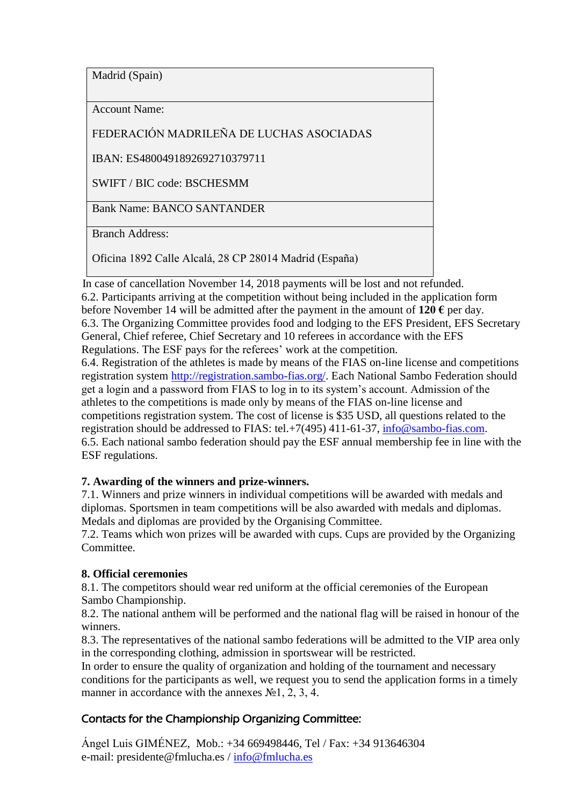Madrid (Spain)

Account Name:

FEDERACIÓN MADRILEÑA DE LUCHAS ASOCIADAS

IBAN: ES4800491892692710379711

SWIFT / BIC code: BSCHESMM

Bank Name: BANCO SANTANDER

Branch Address:

Oficina 1892 Calle Alcalá, 28 CP 28014 Madrid (España)

 In case of cancellation November 14, 2018 payments will be lost and not refunded. 6.2. Participants arriving at the competition without being included in the application form before November 14 will be admitted after the payment in the amount of  $120 \epsilon$  per day. 6.3. The Organizing Committee provides food and lodging to the EFS President, EFS Secretary General, Chief referee, Chief Secretary and 10 referees in accordance with the EFS Regulations. The ESF pays for the referees' work at the competition.

6.4. Registration of the athletes is made by means of the FIAS on-line license and competitions registration system [http://registration.sambo-fias.org/.](http://registration.sambo-fias.org/) Each National Sambo Federation should get a login and a password from FIAS to log in to its system's account. Admission of the athletes to the competitions is made only by means of the FIAS on-line license and competitions registration system. The cost of license is \$35 USD, all questions related to the registration should be addressed to FIAS: tel.+7(495) 411-61-37, [info@sambo-fias.com.](mailto:info@sambo-fias.com) 6.5. Each national sambo federation should pay the ESF annual membership fee in line with the ESF regulations.

# **7. Awarding of the winners and prize-winners.**

7.1. Winners and prize winners in individual competitions will be awarded with medals and diplomas. Sportsmen in team competitions will be also awarded with medals and diplomas. Medals and diplomas are provided by the Organising Committee.

7.2. Teams which won prizes will be awarded with cups. Cups are provided by the Organizing Committee.

# **8. Official ceremonies**

8.1. The competitors should wear red uniform at the official ceremonies of the European Sambo Championship.

8.2. The national anthem will be performed and the national flag will be raised in honour of the winners.

8.3. The representatives of the national sambo federations will be admitted to the VIP area only in the corresponding clothing, admission in sportswear will be restricted.

In order to ensure the quality of organization and holding of the tournament and necessary conditions for the participants as well, we request you to send the application forms in a timely manner in accordance with the annexes  $N<sub>2</sub>1$ , 2, 3, 4.

# Contacts for the Championship Organizing Committee:

Ángel Luis GIMÉNEZ, Mob.: +34 669498446, Tel / Fax: +34 913646304 e-mail: [presidente@fmlucha.es](mailto:presidente@fmlucha.es) / [info@fmlucha.es](mailto:info@fmlucha.es)